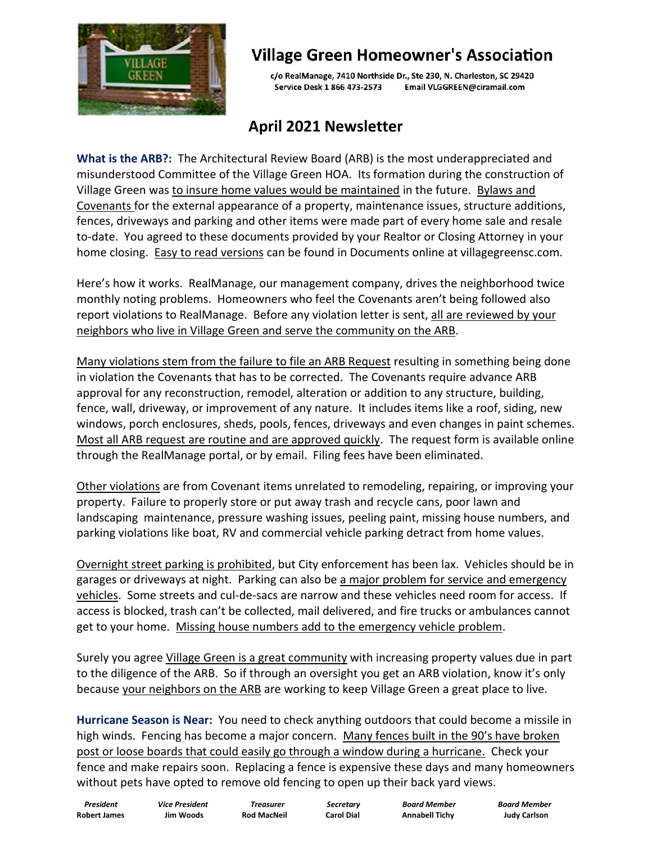

## **Village Green Homeowner's Association**

c/o RealManage, 7410 Northside Dr., Ste 230, N. Charleston, SC 29420 Service Desk 1 866 473-2573 Email VLGGREEN@ciramail.com

## **April 2021 Newsletter**

**What is the ARB?:** The Architectural Review Board (ARB) is the most underappreciated and misunderstood Committee of the Village Green HOA. Its formation during the construction of Village Green was to insure home values would be maintained in the future. Bylaws and Covenants for the external appearance of a property, maintenance issues, structure additions, fences, driveways and parking and other items were made part of every home sale and resale to-date. You agreed to these documents provided by your Realtor or Closing Attorney in your home closing. Easy to read versions can be found in Documents online at villagegreensc.com.

Here's how it works. RealManage, our management company, drives the neighborhood twice monthly noting problems. Homeowners who feel the Covenants aren't being followed also report violations to RealManage. Before any violation letter is sent, all are reviewed by your neighbors who live in Village Green and serve the community on the ARB.

Many violations stem from the failure to file an ARB Request resulting in something being done in violation the Covenants that has to be corrected. The Covenants require advance ARB approval for any reconstruction, remodel, alteration or addition to any structure, building, fence, wall, driveway, or improvement of any nature. It includes items like a roof, siding, new windows, porch enclosures, sheds, pools, fences, driveways and even changes in paint schemes. Most all ARB request are routine and are approved quickly. The request form is available online through the RealManage portal, or by email. Filing fees have been eliminated.

Other violations are from Covenant items unrelated to remodeling, repairing, or improving your property. Failure to properly store or put away trash and recycle cans, poor lawn and landscaping maintenance, pressure washing issues, peeling paint, missing house numbers, and parking violations like boat, RV and commercial vehicle parking detract from home values.

Overnight street parking is prohibited, but City enforcement has been lax. Vehicles should be in garages or driveways at night. Parking can also be a major problem for service and emergency vehicles. Some streets and cul-de-sacs are narrow and these vehicles need room for access. If access is blocked, trash can't be collected, mail delivered, and fire trucks or ambulances cannot get to your home. Missing house numbers add to the emergency vehicle problem.

Surely you agree Village Green is a great community with increasing property values due in part to the diligence of the ARB. So if through an oversight you get an ARB violation, know it's only because your neighbors on the ARB are working to keep Village Green a great place to live.

**Hurricane Season is Near:** You need to check anything outdoors that could become a missile in high winds. Fencing has become a major concern. Many fences built in the 90's have broken post or loose boards that could easily go through a window during a hurricane. Check your fence and make repairs soon. Replacing a fence is expensive these days and many homeowners without pets have opted to remove old fencing to open up their back yard views.